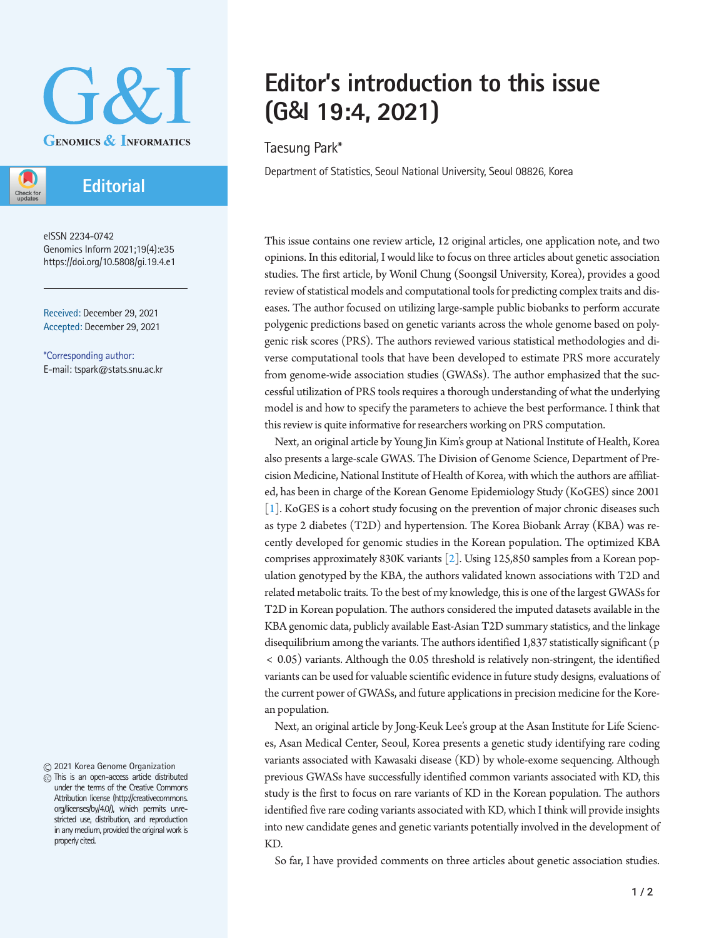

## **Editorial**

Check fo

eISSN 2234-0742 Genomics Inform 2021;19(4):e35 https://doi.org/10.5808/gi.19.4.e1

Received: December 29, 2021 Accepted: December 29, 2021

\*Corresponding author: E-mail: tspark@stats.snu.ac.kr

2021 Korea Genome Organization

This is an open-access article distributed under the terms of the Creative Commons Attribution license (http://creativecommons. org/licenses/by/4.0/), which permits unrestricted use, distribution, and reproduction in any medium, provided the original work is properly cited.

# **Editor's introduction to this issue (G&I 19:4, 2021)**

#### Taesung Park\*

Department of Statistics, Seoul National University, Seoul 08826, Korea

This issue contains one review article, 12 original articles, one application note, and two opinions. In this editorial, I would like to focus on three articles about genetic association studies. The first article, by Wonil Chung (Soongsil University, Korea), provides a good review of statistical models and computational tools for predicting complex traits and diseases. The author focused on utilizing large-sample public biobanks to perform accurate polygenic predictions based on genetic variants across the whole genome based on polygenic risk scores (PRS). The authors reviewed various statistical methodologies and diverse computational tools that have been developed to estimate PRS more accurately from genome-wide association studies (GWASs). The author emphasized that the successful utilization of PRS tools requires a thorough understanding of what the underlying model is and how to specify the parameters to achieve the best performance. I think that this review is quite informative for researchers working on PRS computation.

Next, an original article by Young Jin Kim's group at National Institute of Health, Korea also presents a large-scale GWAS. The Division of Genome Science, Department of Precision Medicine, National Institute of Health of Korea, with which the authors are affiliated, has been in charge of the Korean Genome Epidemiology Study (KoGES) since 2001 [\[1\]](#page-1-0). KoGES is a cohort study focusing on the prevention of major chronic diseases such as type 2 diabetes (T2D) and hypertension. The Korea Biobank Array (KBA) was recently developed for genomic studies in the Korean population. The optimized KBA comprises approximately 830K variants [\[2\]](#page-1-1). Using 125,850 samples from a Korean population genotyped by the KBA, the authors validated known associations with T2D and related metabolic traits. To the best of my knowledge, this is one of the largest GWASs for T2D in Korean population. The authors considered the imputed datasets available in the KBA genomic data, publicly available East-Asian T2D summary statistics, and the linkage disequilibrium among the variants. The authors identified 1,837 statistically significant (p < 0.05) variants. Although the 0.05 threshold is relatively non-stringent, the identified variants can be used for valuable scientific evidence in future study designs, evaluations of the current power of GWASs, and future applications in precision medicine for the Korean population.

Next, an original article by Jong-Keuk Lee's group at the Asan Institute for Life Sciences, Asan Medical Center, Seoul, Korea presents a genetic study identifying rare coding variants associated with Kawasaki disease (KD) by whole-exome sequencing. Although previous GWASs have successfully identified common variants associated with KD, this study is the first to focus on rare variants of KD in the Korean population. The authors identified five rare coding variants associated with KD, which I think will provide insights into new candidate genes and genetic variants potentially involved in the development of KD.

So far, I have provided comments on three articles about genetic association studies.